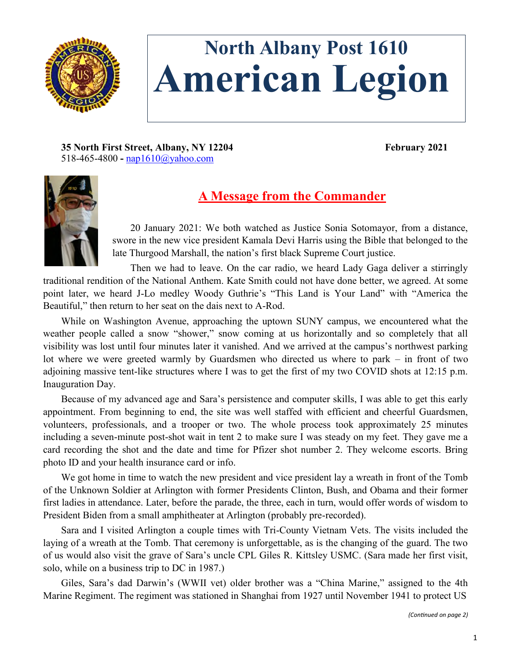

## **North Albany Post 1610 American Legion**

**35 North First Street, Albany, NY 12204 February 2021** 518-465-4800 **-** [nap1610@yahoo.com](mailto:nap1610@yahoo.com)



## **A Message from the Commander**

20 January 2021: We both watched as Justice Sonia Sotomayor, from a distance, swore in the new vice president Kamala Devi Harris using the Bible that belonged to the late Thurgood Marshall, the nation's first black Supreme Court justice.

Then we had to leave. On the car radio, we heard Lady Gaga deliver a stirringly traditional rendition of the National Anthem. Kate Smith could not have done better, we agreed. At some point later, we heard J-Lo medley Woody Guthrie's "This Land is Your Land" with "America the Beautiful," then return to her seat on the dais next to A-Rod.

While on Washington Avenue, approaching the uptown SUNY campus, we encountered what the weather people called a snow "shower," snow coming at us horizontally and so completely that all visibility was lost until four minutes later it vanished. And we arrived at the campus's northwest parking lot where we were greeted warmly by Guardsmen who directed us where to park – in front of two adjoining massive tent-like structures where I was to get the first of my two COVID shots at 12:15 p.m. Inauguration Day.

Because of my advanced age and Sara's persistence and computer skills, I was able to get this early appointment. From beginning to end, the site was well staffed with efficient and cheerful Guardsmen, volunteers, professionals, and a trooper or two. The whole process took approximately 25 minutes including a seven-minute post-shot wait in tent 2 to make sure I was steady on my feet. They gave me a card recording the shot and the date and time for Pfizer shot number 2. They welcome escorts. Bring photo ID and your health insurance card or info.

We got home in time to watch the new president and vice president lay a wreath in front of the Tomb of the Unknown Soldier at Arlington with former Presidents Clinton, Bush, and Obama and their former first ladies in attendance. Later, before the parade, the three, each in turn, would offer words of wisdom to President Biden from a small amphitheater at Arlington (probably pre-recorded).

Sara and I visited Arlington a couple times with Tri-County Vietnam Vets. The visits included the laying of a wreath at the Tomb. That ceremony is unforgettable, as is the changing of the guard. The two of us would also visit the grave of Sara's uncle CPL Giles R. Kittsley USMC. (Sara made her first visit, solo, while on a business trip to DC in 1987.)

Giles, Sara's dad Darwin's (WWII vet) older brother was a "China Marine," assigned to the 4th Marine Regiment. The regiment was stationed in Shanghai from 1927 until November 1941 to protect US